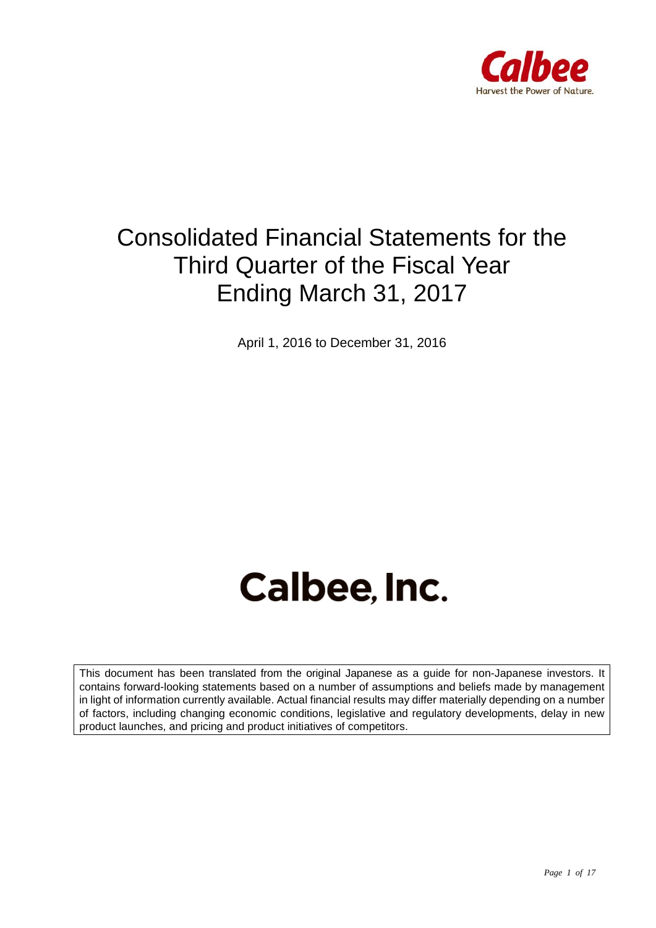

## Consolidated Financial Statements for the Third Quarter of the Fiscal Year Ending March 31, 2017

April 1, 2016 to December 31, 2016

# Calbee, Inc.

This document has been translated from the original Japanese as a guide for non-Japanese investors. It contains forward-looking statements based on a number of assumptions and beliefs made by management in light of information currently available. Actual financial results may differ materially depending on a number of factors, including changing economic conditions, legislative and regulatory developments, delay in new product launches, and pricing and product initiatives of competitors.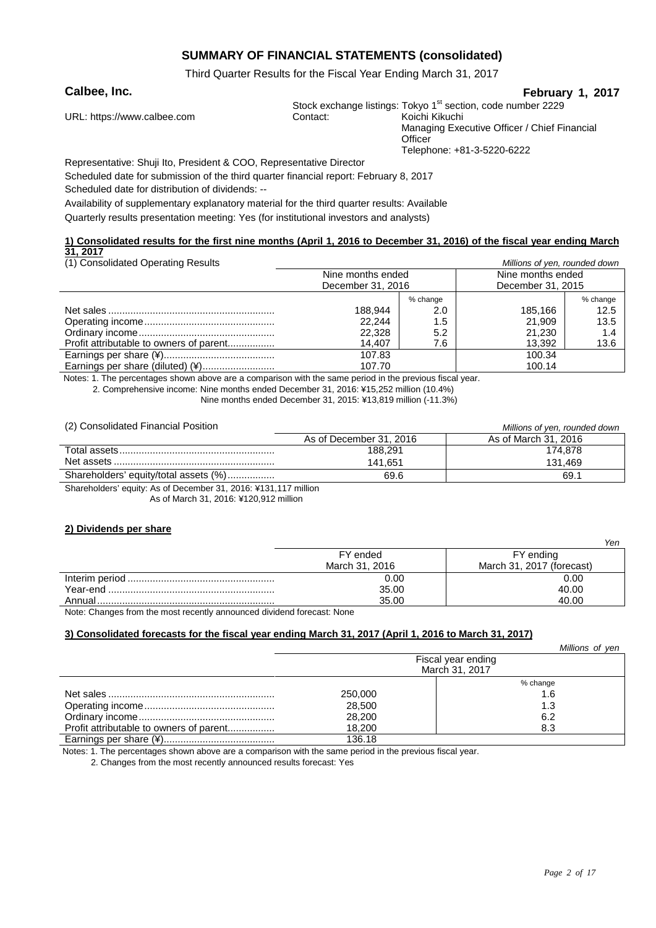#### **SUMMARY OF FINANCIAL STATEMENTS (consolidated)**

Third Quarter Results for the Fiscal Year Ending March 31, 2017

#### **Calbee, Inc. February 1, 2017**

|                             |          | Stock exchange listings: Tokyo 1 <sup>st</sup> section, code number 2229 |
|-----------------------------|----------|--------------------------------------------------------------------------|
| URL: https://www.calbee.com | Contact: | Koichi Kikuchi                                                           |
|                             |          | Managing Executive Officer / Chief Financial                             |
|                             |          | Officer                                                                  |
|                             |          | Telephone: +81-3-5220-6222                                               |
|                             |          |                                                                          |

Representative: Shuji Ito, President & COO, Representative Director

Scheduled date for submission of the third quarter financial report: February 8, 2017 Scheduled date for distribution of dividends: --

Availability of supplementary explanatory material for the third quarter results: Available

Quarterly results presentation meeting: Yes (for institutional investors and analysts)

#### **1) Consolidated results for the first nine months (April 1, 2016 to December 31, 2016) of the fiscal year ending March 31, 2017**

| (1) Consolidated Operating Results      | Millions of yen, rounded down |          |                   |          |
|-----------------------------------------|-------------------------------|----------|-------------------|----------|
|                                         | Nine months ended             |          | Nine months ended |          |
|                                         | December 31, 2016             |          | December 31, 2015 |          |
|                                         |                               | % change |                   | % change |
|                                         | 188,944                       | 2.0      | 185.166           | 12.5     |
|                                         | 22.244                        | 1.5      | 21.909            | 13.5     |
|                                         | 22,328                        | 5.2      | 21.230            | 1.4      |
| Profit attributable to owners of parent | 14.407                        | 7.6      | 13,392            | 13.6     |
|                                         | 107.83                        |          | 100.34            |          |
| Earnings per share (diluted) (¥)        | 107.70                        |          | 100.14            |          |

Notes: 1. The percentages shown above are a comparison with the same period in the previous fiscal year.

2. Comprehensive income: Nine months ended December 31, 2016: ¥15,252 million (10.4%)

Nine months ended December 31, 2015: ¥13,819 million (-11.3%)

| (2) Consolidated Financial Position   | Millions of yen, rounded down |                      |  |
|---------------------------------------|-------------------------------|----------------------|--|
|                                       | As of December 31, 2016       | As of March 31, 2016 |  |
|                                       | 188.291                       | 174.878              |  |
|                                       | 141.651                       | 131.469              |  |
| Shareholders' equity/total assets (%) | 69.6                          | 69.1                 |  |
|                                       |                               |                      |  |

Shareholders' equity: As of December 31, 2016: ¥131,117 million

As of March 31, 2016: ¥120,912 million

#### **2) Dividends per share**

|                                                                                                                      |                | Yen                       |
|----------------------------------------------------------------------------------------------------------------------|----------------|---------------------------|
|                                                                                                                      | FY ended       | FY ending                 |
|                                                                                                                      | March 31, 2016 | March 31, 2017 (forecast) |
|                                                                                                                      | 0.00           | 0.00                      |
|                                                                                                                      | 35.00          | 40.00                     |
|                                                                                                                      | 35.00          | 40.00                     |
| .<br>the contract of the contract of the contract of the contract of the contract of the contract of the contract of |                |                           |

Note: Changes from the most recently announced dividend forecast: None

#### **3) Consolidated forecasts for the fiscal year ending March 31, 2017 (April 1, 2016 to March 31, 2017)**

|                                         |         | Millions of yen    |
|-----------------------------------------|---------|--------------------|
|                                         |         | Fiscal year ending |
|                                         |         | March 31, 2017     |
|                                         |         | % change           |
|                                         | 250,000 | 1.6                |
|                                         | 28,500  | 1.3                |
|                                         | 28,200  | 6.2                |
| Profit attributable to owners of parent | 18.200  | 8.3                |
|                                         | 136.18  |                    |

Notes: 1. The percentages shown above are a comparison with the same period in the previous fiscal year.

2. Changes from the most recently announced results forecast: Yes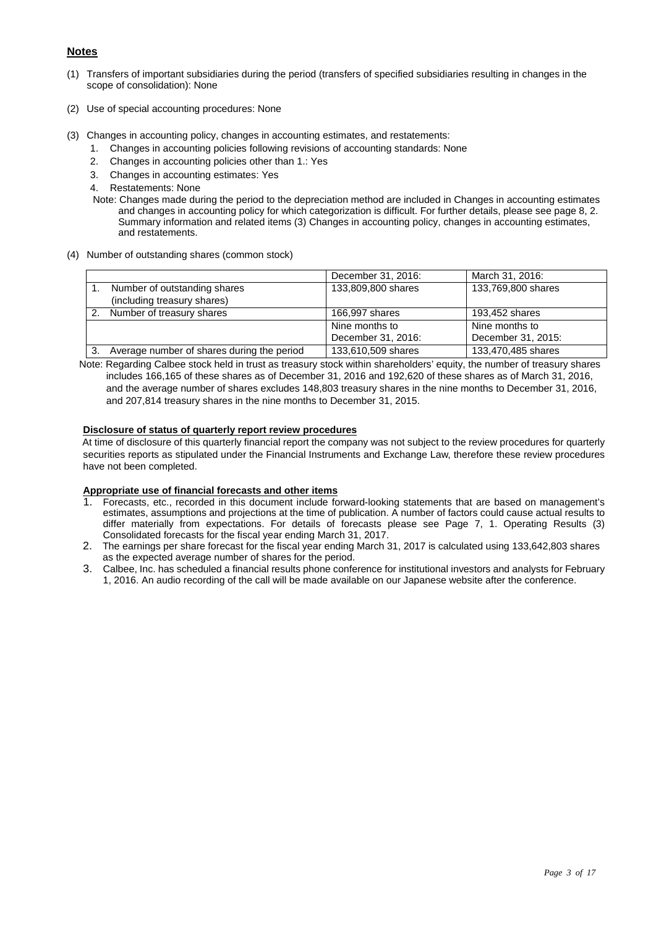#### **Notes**

- (1) Transfers of important subsidiaries during the period (transfers of specified subsidiaries resulting in changes in the scope of consolidation): None
- (2) Use of special accounting procedures: None
- (3) Changes in accounting policy, changes in accounting estimates, and restatements:
	- 1. Changes in accounting policies following revisions of accounting standards: None
	- 2. Changes in accounting policies other than 1.: Yes
	- 3. Changes in accounting estimates: Yes
	- 4. Restatements: None
	- Note: Changes made during the period to the depreciation method are included in Changes in accounting estimates and changes in accounting policy for which categorization is difficult. For further details, please see page 8, 2. Summary information and related items (3) Changes in accounting policy, changes in accounting estimates, and restatements.
- (4) Number of outstanding shares (common stock)

|                                            | December 31, 2016: | March 31, 2016:    |
|--------------------------------------------|--------------------|--------------------|
| Number of outstanding shares               | 133,809,800 shares | 133,769,800 shares |
| (including treasury shares)                |                    |                    |
| Number of treasury shares                  | 166,997 shares     | 193,452 shares     |
|                                            | Nine months to     | Nine months to     |
|                                            | December 31, 2016: | December 31, 2015: |
| Average number of shares during the period | 133,610,509 shares | 133,470,485 shares |

Note: Regarding Calbee stock held in trust as treasury stock within shareholders' equity, the number of treasury shares includes 166,165 of these shares as of December 31, 2016 and 192,620 of these shares as of March 31, 2016, and the average number of shares excludes 148,803 treasury shares in the nine months to December 31, 2016, and 207,814 treasury shares in the nine months to December 31, 2015.

#### **Disclosure of status of quarterly report review procedures**

At time of disclosure of this quarterly financial report the company was not subject to the review procedures for quarterly securities reports as stipulated under the Financial Instruments and Exchange Law, therefore these review procedures have not been completed.

#### **Appropriate use of financial forecasts and other items**

- 1. Forecasts, etc., recorded in this document include forward-looking statements that are based on management's estimates, assumptions and projections at the time of publication. A number of factors could cause actual results to differ materially from expectations. For details of forecasts please see Page 7, 1. Operating Results (3) Consolidated forecasts for the fiscal year ending March 31, 2017.
- 2. The earnings per share forecast for the fiscal year ending March 31, 2017 is calculated using 133,642,803 shares as the expected average number of shares for the period.
- 3. Calbee, Inc. has scheduled a financial results phone conference for institutional investors and analysts for February 1, 2016. An audio recording of the call will be made available on our Japanese website after the conference.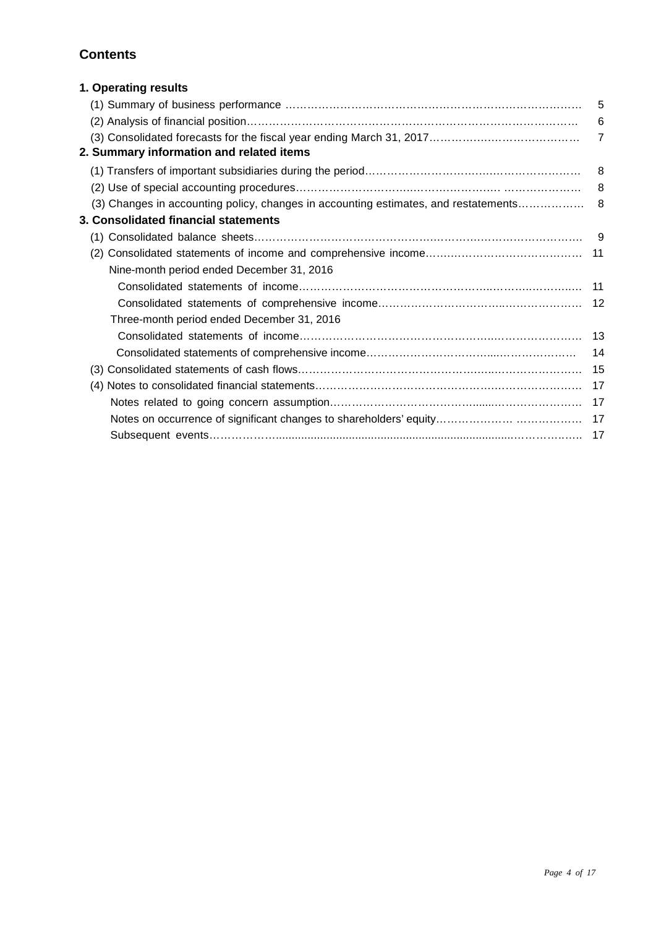### **Contents**

| 1. Operating results                       |                |
|--------------------------------------------|----------------|
|                                            | 5              |
|                                            | 6              |
| 2. Summary information and related items   | $\overline{7}$ |
|                                            | 8              |
|                                            |                |
|                                            |                |
| 3. Consolidated financial statements       |                |
|                                            |                |
|                                            |                |
| Nine-month period ended December 31, 2016  |                |
|                                            |                |
|                                            |                |
| Three-month period ended December 31, 2016 |                |
|                                            |                |
| 14                                         |                |
|                                            |                |
|                                            |                |
|                                            |                |
|                                            |                |
|                                            |                |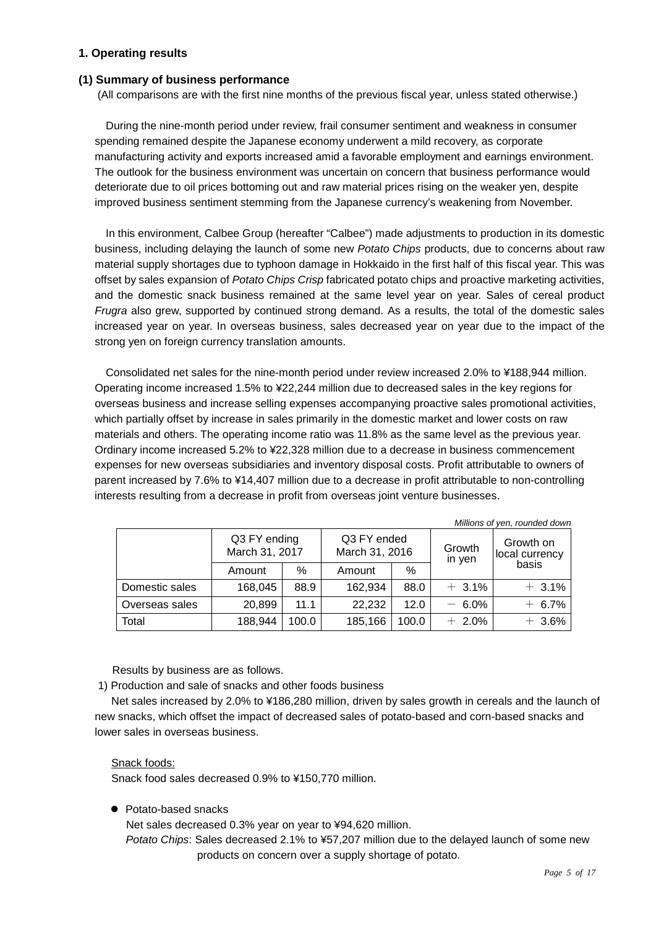#### **1. Operating results**

#### **(1) Summary of business performance**

(All comparisons are with the first nine months of the previous fiscal year, unless stated otherwise.)

During the nine-month period under review, frail consumer sentiment and weakness in consumer spending remained despite the Japanese economy underwent a mild recovery, as corporate manufacturing activity and exports increased amid a favorable employment and earnings environment. The outlook for the business environment was uncertain on concern that business performance would deteriorate due to oil prices bottoming out and raw material prices rising on the weaker yen, despite improved business sentiment stemming from the Japanese currency's weakening from November.

In this environment, Calbee Group (hereafter "Calbee") made adjustments to production in its domestic business, including delaying the launch of some new *Potato Chips* products, due to concerns about raw material supply shortages due to typhoon damage in Hokkaido in the first half of this fiscal year. This was offset by sales expansion of *Potato Chips Crisp* fabricated potato chips and proactive marketing activities, and the domestic snack business remained at the same level year on year. Sales of cereal product *Frugra* also grew, supported by continued strong demand. As a results, the total of the domestic sales increased year on year. In overseas business, sales decreased year on year due to the impact of the strong yen on foreign currency translation amounts.

Consolidated net sales for the nine-month period under review increased 2.0% to ¥188,944 million. Operating income increased 1.5% to ¥22,244 million due to decreased sales in the key regions for overseas business and increase selling expenses accompanying proactive sales promotional activities, which partially offset by increase in sales primarily in the domestic market and lower costs on raw materials and others. The operating income ratio was 11.8% as the same level as the previous year. Ordinary income increased 5.2% to ¥22,328 million due to a decrease in business commencement expenses for new overseas subsidiaries and inventory disposal costs. Profit attributable to owners of parent increased by 7.6% to ¥14,407 million due to a decrease in profit attributable to non-controlling interests resulting from a decrease in profit from overseas joint venture businesses.

|                | Q3 FY ending<br>Q3 FY ended<br>March 31, 2017<br>March 31, 2016 |       |         | Growth<br>in yen | Millions of yen, rounded down<br>Growth on<br>local currency |          |
|----------------|-----------------------------------------------------------------|-------|---------|------------------|--------------------------------------------------------------|----------|
|                | Amount                                                          | $\%$  | Amount  | %                |                                                              | basis    |
| Domestic sales | 168,045                                                         | 88.9  | 162,934 | 88.0             | $+3.1\%$                                                     | $+3.1%$  |
| Overseas sales | 20,899                                                          | 11.1  | 22,232  | 12.0             | $-6.0%$                                                      | $+ 6.7%$ |
| Total          | 188,944                                                         | 100.0 | 185,166 | 100.0            | $+2.0%$                                                      | $+3.6%$  |

Results by business are as follows.

1) Production and sale of snacks and other foods business

Net sales increased by 2.0% to ¥186,280 million, driven by sales growth in cereals and the launch of new snacks, which offset the impact of decreased sales of potato-based and corn-based snacks and lower sales in overseas business.

#### Snack foods:

Snack food sales decreased 0.9% to ¥150,770 million.

• Potato-based snacks

Net sales decreased 0.3% year on year to ¥94,620 million.

*Potato Chips*: Sales decreased 2.1% to ¥57,207 million due to the delayed launch of some new products on concern over a supply shortage of potato.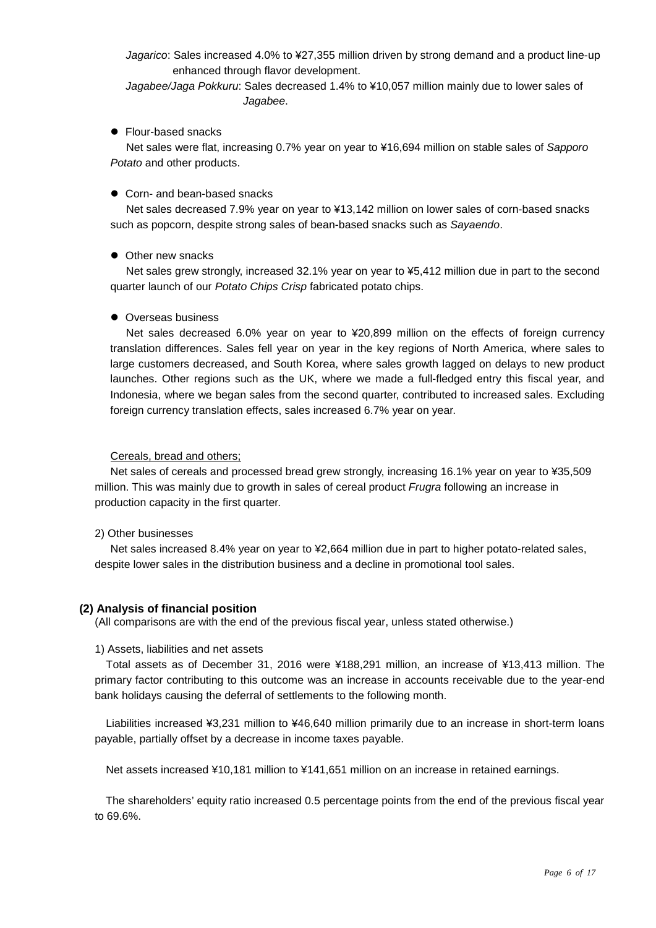*Jagarico*: Sales increased 4.0% to ¥27,355 million driven by strong demand and a product line-up enhanced through flavor development.

*Jagabee/Jaga Pokkuru*: Sales decreased 1.4% to ¥10,057 million mainly due to lower sales of *Jagabee*.

#### ● Flour-based snacks

Net sales were flat, increasing 0.7% year on year to ¥16,694 million on stable sales of *Sapporo Potato* and other products.

#### ● Corn- and bean-based snacks

Net sales decreased 7.9% year on year to ¥13,142 million on lower sales of corn-based snacks such as popcorn, despite strong sales of bean-based snacks such as *Sayaendo*.

#### • Other new snacks

Net sales grew strongly, increased 32.1% year on year to ¥5,412 million due in part to the second quarter launch of our *Potato Chips Crisp* fabricated potato chips.

#### • Overseas business

Net sales decreased 6.0% year on year to ¥20,899 million on the effects of foreign currency translation differences. Sales fell year on year in the key regions of North America, where sales to large customers decreased, and South Korea, where sales growth lagged on delays to new product launches. Other regions such as the UK, where we made a full-fledged entry this fiscal year, and Indonesia, where we began sales from the second quarter, contributed to increased sales. Excluding foreign currency translation effects, sales increased 6.7% year on year.

#### Cereals, bread and others;

Net sales of cereals and processed bread grew strongly, increasing 16.1% year on year to ¥35,509 million. This was mainly due to growth in sales of cereal product *Frugra* following an increase in production capacity in the first quarter.

#### 2) Other businesses

Net sales increased 8.4% year on year to ¥2,664 million due in part to higher potato-related sales, despite lower sales in the distribution business and a decline in promotional tool sales.

#### **(2) Analysis of financial position**

(All comparisons are with the end of the previous fiscal year, unless stated otherwise.)

#### 1) Assets, liabilities and net assets

Total assets as of December 31, 2016 were ¥188,291 million, an increase of ¥13,413 million. The primary factor contributing to this outcome was an increase in accounts receivable due to the year-end bank holidays causing the deferral of settlements to the following month.

Liabilities increased ¥3,231 million to ¥46,640 million primarily due to an increase in short-term loans payable, partially offset by a decrease in income taxes payable.

Net assets increased ¥10,181 million to ¥141,651 million on an increase in retained earnings.

The shareholders' equity ratio increased 0.5 percentage points from the end of the previous fiscal year to 69.6%.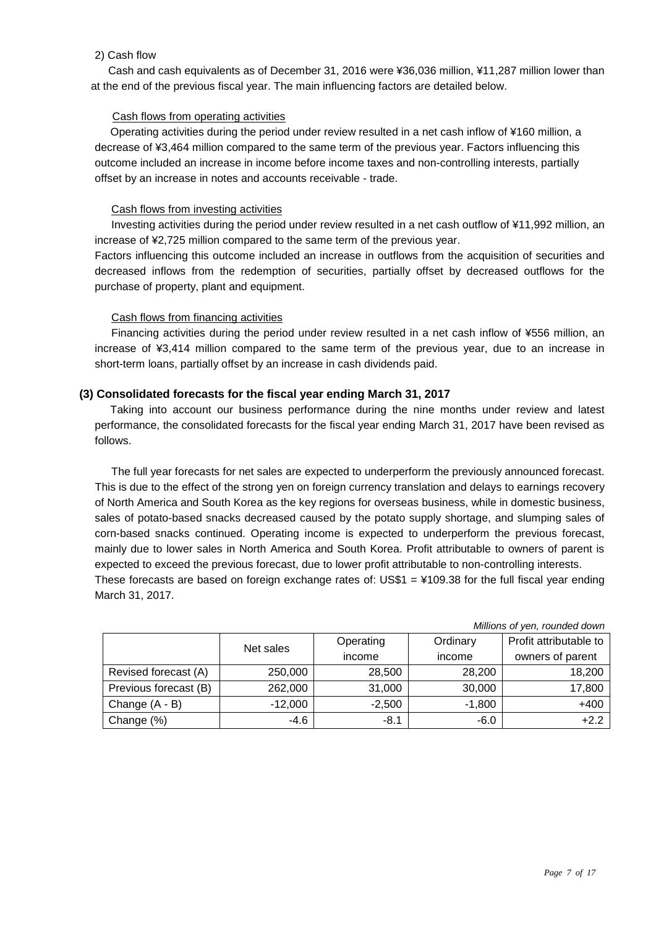#### 2) Cash flow

Cash and cash equivalents as of December 31, 2016 were ¥36,036 million, ¥11,287 million lower than at the end of the previous fiscal year. The main influencing factors are detailed below.

#### Cash flows from operating activities

Operating activities during the period under review resulted in a net cash inflow of ¥160 million, a decrease of ¥3,464 million compared to the same term of the previous year. Factors influencing this outcome included an increase in income before income taxes and non-controlling interests, partially offset by an increase in notes and accounts receivable - trade.

#### Cash flows from investing activities

Investing activities during the period under review resulted in a net cash outflow of ¥11,992 million, an increase of ¥2,725 million compared to the same term of the previous year.

Factors influencing this outcome included an increase in outflows from the acquisition of securities and decreased inflows from the redemption of securities, partially offset by decreased outflows for the purchase of property, plant and equipment.

#### Cash flows from financing activities

Financing activities during the period under review resulted in a net cash inflow of ¥556 million, an increase of ¥3,414 million compared to the same term of the previous year, due to an increase in short-term loans, partially offset by an increase in cash dividends paid.

#### **(3) Consolidated forecasts for the fiscal year ending March 31, 2017**

Taking into account our business performance during the nine months under review and latest performance, the consolidated forecasts for the fiscal year ending March 31, 2017 have been revised as follows.

The full year forecasts for net sales are expected to underperform the previously announced forecast. This is due to the effect of the strong yen on foreign currency translation and delays to earnings recovery of North America and South Korea as the key regions for overseas business, while in domestic business, sales of potato-based snacks decreased caused by the potato supply shortage, and slumping sales of corn-based snacks continued. Operating income is expected to underperform the previous forecast, mainly due to lower sales in North America and South Korea. Profit attributable to owners of parent is expected to exceed the previous forecast, due to lower profit attributable to non-controlling interests. These forecasts are based on foreign exchange rates of:  $USS1 = 4109.38$  for the full fiscal year ending March 31, 2017.

|                       | Net sales | Operating | Ordinary | Profit attributable to |
|-----------------------|-----------|-----------|----------|------------------------|
|                       |           | income    | income   | owners of parent       |
| Revised forecast (A)  | 250,000   | 28,500    | 28,200   | 18,200                 |
| Previous forecast (B) | 262,000   | 31,000    | 30,000   | 17,800                 |
| Change $(A - B)$      | $-12,000$ | $-2,500$  | $-1,800$ | $+400$                 |
| Change (%)            | $-4.6$    | $-8.1$    | $-6.0$   | $+2.2$                 |

*Millions of yen, rounded down*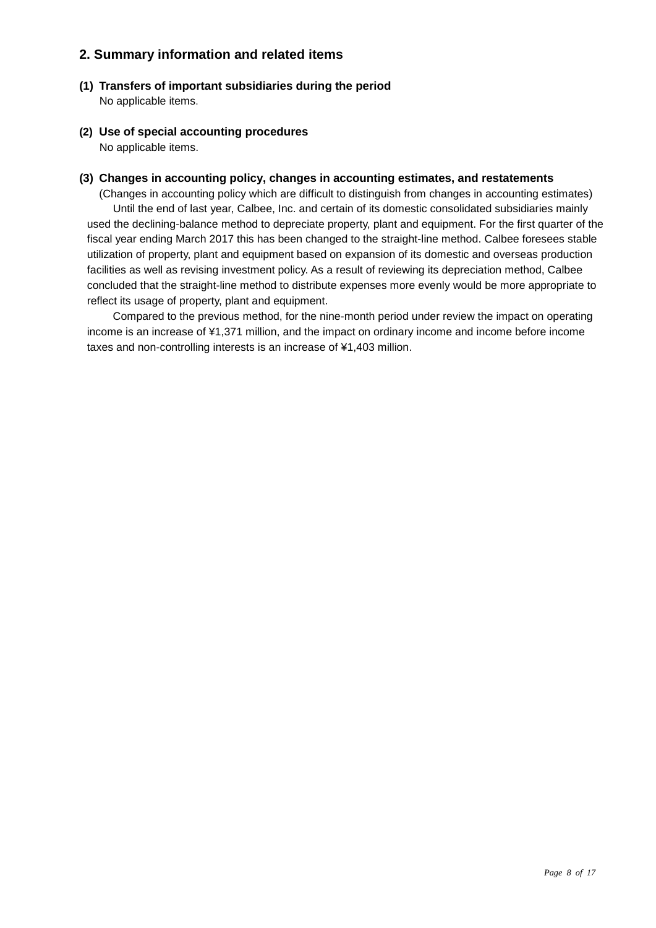#### **2. Summary information and related items**

- **(1) Transfers of important subsidiaries during the period**  No applicable items.
- **(2) Use of special accounting procedures** No applicable items.

#### **(3) Changes in accounting policy, changes in accounting estimates, and restatements**

(Changes in accounting policy which are difficult to distinguish from changes in accounting estimates) Until the end of last year, Calbee, Inc. and certain of its domestic consolidated subsidiaries mainly used the declining-balance method to depreciate property, plant and equipment. For the first quarter of the fiscal year ending March 2017 this has been changed to the straight-line method. Calbee foresees stable utilization of property, plant and equipment based on expansion of its domestic and overseas production facilities as well as revising investment policy. As a result of reviewing its depreciation method, Calbee concluded that the straight-line method to distribute expenses more evenly would be more appropriate to reflect its usage of property, plant and equipment.

Compared to the previous method, for the nine-month period under review the impact on operating income is an increase of ¥1,371 million, and the impact on ordinary income and income before income taxes and non-controlling interests is an increase of ¥1,403 million.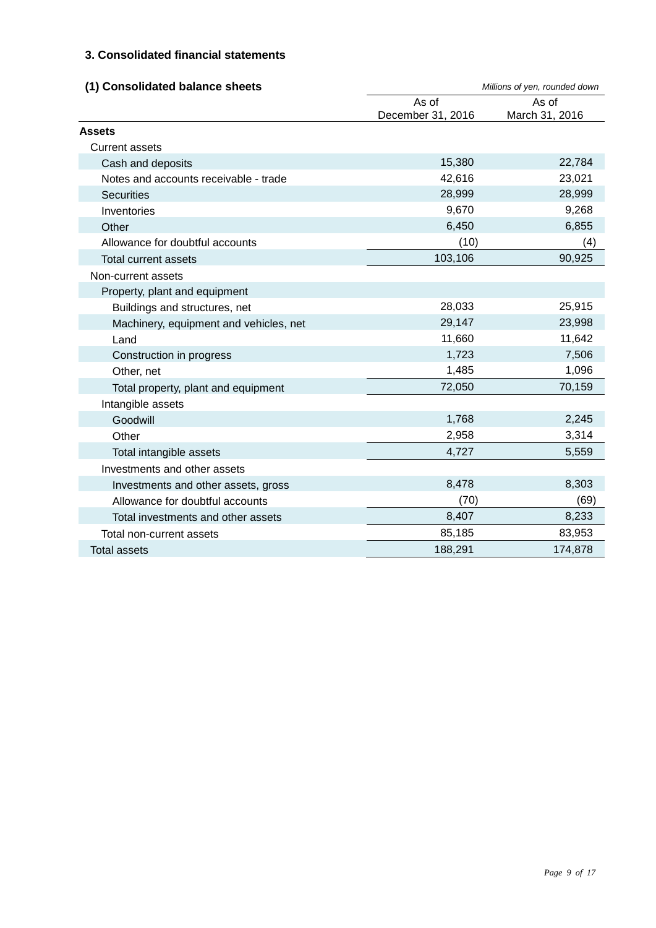#### **3. Consolidated financial statements**

| (1) Consolidated balance sheets        |                   | Millions of yen, rounded down |
|----------------------------------------|-------------------|-------------------------------|
|                                        | As of             | As of                         |
|                                        | December 31, 2016 | March 31, 2016                |
| <b>Assets</b>                          |                   |                               |
| <b>Current assets</b>                  |                   |                               |
| Cash and deposits                      | 15,380            | 22,784                        |
| Notes and accounts receivable - trade  | 42,616            | 23,021                        |
| <b>Securities</b>                      | 28,999            | 28,999                        |
| Inventories                            | 9,670             | 9,268                         |
| Other                                  | 6,450             | 6,855                         |
| Allowance for doubtful accounts        | (10)              | (4)                           |
| <b>Total current assets</b>            | 103,106           | 90,925                        |
| Non-current assets                     |                   |                               |
| Property, plant and equipment          |                   |                               |
| Buildings and structures, net          | 28,033            | 25,915                        |
| Machinery, equipment and vehicles, net | 29,147            | 23,998                        |
| Land                                   | 11,660            | 11,642                        |
| Construction in progress               | 1,723             | 7,506                         |
| Other, net                             | 1,485             | 1,096                         |
| Total property, plant and equipment    | 72,050            | 70,159                        |
| Intangible assets                      |                   |                               |
| Goodwill                               | 1,768             | 2,245                         |
| Other                                  | 2,958             | 3,314                         |
| Total intangible assets                | 4,727             | 5,559                         |
| Investments and other assets           |                   |                               |
| Investments and other assets, gross    | 8,478             | 8,303                         |
| Allowance for doubtful accounts        | (70)              | (69)                          |
| Total investments and other assets     | 8,407             | 8,233                         |
| Total non-current assets               | 85,185            | 83,953                        |
| <b>Total assets</b>                    | 188,291           | 174,878                       |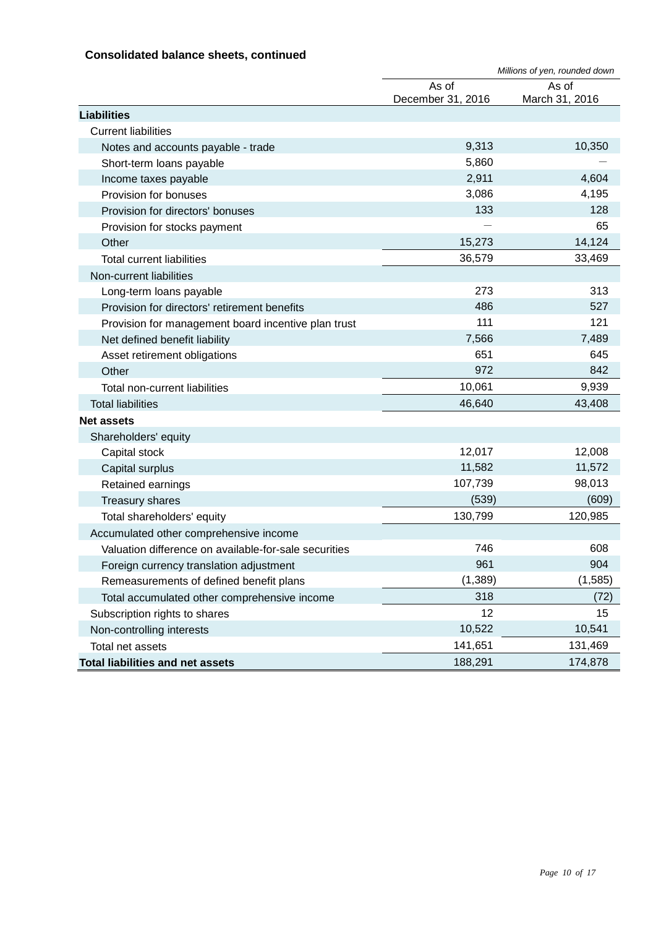#### **Consolidated balance sheets, continued**

|                                                       |                            | Millions of yen, rounded down |
|-------------------------------------------------------|----------------------------|-------------------------------|
|                                                       | As of<br>December 31, 2016 | As of<br>March 31, 2016       |
| <b>Liabilities</b>                                    |                            |                               |
| <b>Current liabilities</b>                            |                            |                               |
| Notes and accounts payable - trade                    | 9,313                      | 10,350                        |
| Short-term loans payable                              | 5,860                      |                               |
| Income taxes payable                                  | 2,911                      | 4,604                         |
| Provision for bonuses                                 | 3,086                      | 4,195                         |
| Provision for directors' bonuses                      | 133                        | 128                           |
| Provision for stocks payment                          |                            | 65                            |
| Other                                                 | 15,273                     | 14,124                        |
| <b>Total current liabilities</b>                      | 36,579                     | 33,469                        |
| Non-current liabilities                               |                            |                               |
| Long-term loans payable                               | 273                        | 313                           |
| Provision for directors' retirement benefits          | 486                        | 527                           |
| Provision for management board incentive plan trust   | 111                        | 121                           |
| Net defined benefit liability                         | 7,566                      | 7,489                         |
| Asset retirement obligations                          | 651                        | 645                           |
| Other                                                 | 972                        | 842                           |
| Total non-current liabilities                         | 10,061                     | 9,939                         |
| <b>Total liabilities</b>                              | 46,640                     | 43,408                        |
| <b>Net assets</b>                                     |                            |                               |
| Shareholders' equity                                  |                            |                               |
| Capital stock                                         | 12,017                     | 12,008                        |
| Capital surplus                                       | 11,582                     | 11,572                        |
| Retained earnings                                     | 107,739                    | 98,013                        |
| <b>Treasury shares</b>                                | (539)                      | (609)                         |
| Total shareholders' equity                            | 130,799                    | 120,985                       |
| Accumulated other comprehensive income                |                            |                               |
| Valuation difference on available-for-sale securities | 746                        | 608                           |
| Foreign currency translation adjustment               | 961                        | 904                           |
| Remeasurements of defined benefit plans               | (1, 389)                   | (1, 585)                      |
| Total accumulated other comprehensive income          | 318                        | (72)                          |
| Subscription rights to shares                         | 12                         | 15                            |
| Non-controlling interests                             | 10,522                     | 10,541                        |
| Total net assets                                      | 141,651                    | 131,469                       |
| <b>Total liabilities and net assets</b>               | 188,291                    | 174,878                       |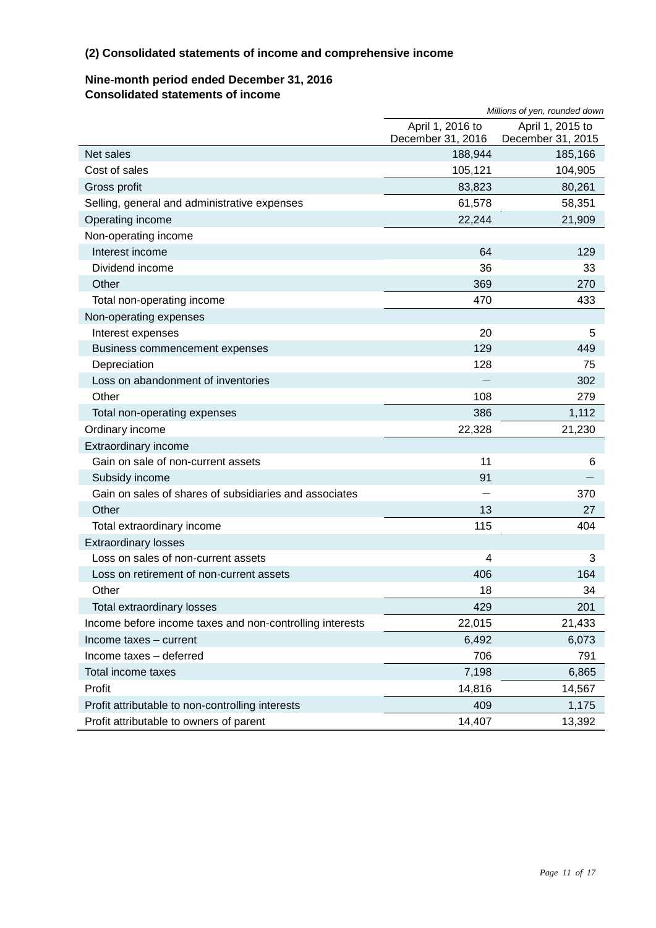#### **(2) Consolidated statements of income and comprehensive income**

#### **Nine-month period ended December 31, 2016 Consolidated statements of income**

|                                                          |                                       | Millions of yen, rounded down         |
|----------------------------------------------------------|---------------------------------------|---------------------------------------|
|                                                          | April 1, 2016 to<br>December 31, 2016 | April 1, 2015 to<br>December 31, 2015 |
| Net sales                                                | 188,944                               | 185,166                               |
| Cost of sales                                            | 105,121                               | 104,905                               |
| Gross profit                                             | 83,823                                | 80,261                                |
| Selling, general and administrative expenses             | 61,578                                | 58,351                                |
| Operating income                                         | 22,244                                | 21,909                                |
| Non-operating income                                     |                                       |                                       |
| Interest income                                          | 64                                    | 129                                   |
| Dividend income                                          | 36                                    | 33                                    |
| Other                                                    | 369                                   | 270                                   |
| Total non-operating income                               | 470                                   | 433                                   |
| Non-operating expenses                                   |                                       |                                       |
| Interest expenses                                        | 20                                    | 5                                     |
| Business commencement expenses                           | 129                                   | 449                                   |
| Depreciation                                             | 128                                   | 75                                    |
| Loss on abandonment of inventories                       |                                       | 302                                   |
| Other                                                    | 108                                   | 279                                   |
| Total non-operating expenses                             | 386                                   | 1,112                                 |
| Ordinary income                                          | 22,328                                | 21,230                                |
| Extraordinary income                                     |                                       |                                       |
| Gain on sale of non-current assets                       | 11                                    | 6                                     |
| Subsidy income                                           | 91                                    |                                       |
| Gain on sales of shares of subsidiaries and associates   |                                       | 370                                   |
| Other                                                    | 13                                    | 27                                    |
| Total extraordinary income                               | 115                                   | 404                                   |
| <b>Extraordinary losses</b>                              |                                       |                                       |
| Loss on sales of non-current assets                      | $\overline{4}$                        | 3                                     |
| Loss on retirement of non-current assets                 | 406                                   | 164                                   |
| Other                                                    | 18                                    | 34                                    |
| Total extraordinary losses                               | 429                                   | 201                                   |
| Income before income taxes and non-controlling interests | 22,015                                | 21,433                                |
| Income taxes - current                                   | 6,492                                 | 6,073                                 |
| Income taxes - deferred                                  | 706                                   | 791                                   |
| Total income taxes                                       | 7,198                                 | 6,865                                 |
| Profit                                                   | 14,816                                | 14,567                                |
| Profit attributable to non-controlling interests         | 409                                   | 1,175                                 |
| Profit attributable to owners of parent                  | 14,407                                | 13,392                                |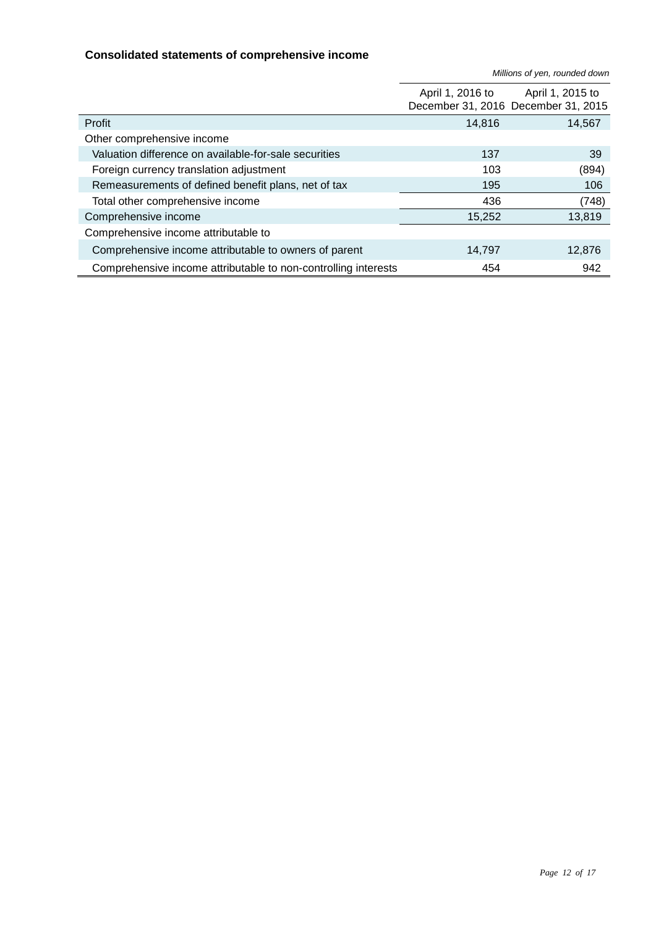#### **Consolidated statements of comprehensive income**

*Millions of yen, rounded down*

|                                                                | April 1, 2016 to | April 1, 2015 to<br>December 31, 2016 December 31, 2015 |
|----------------------------------------------------------------|------------------|---------------------------------------------------------|
| Profit                                                         | 14,816           | 14,567                                                  |
| Other comprehensive income                                     |                  |                                                         |
| Valuation difference on available-for-sale securities          | 137              | 39                                                      |
| Foreign currency translation adjustment                        | 103              | (894)                                                   |
| Remeasurements of defined benefit plans, net of tax            | 195              | 106                                                     |
| Total other comprehensive income                               | 436              | (748)                                                   |
| Comprehensive income                                           | 15,252           | 13,819                                                  |
| Comprehensive income attributable to                           |                  |                                                         |
| Comprehensive income attributable to owners of parent          | 14,797           | 12,876                                                  |
| Comprehensive income attributable to non-controlling interests | 454              | 942                                                     |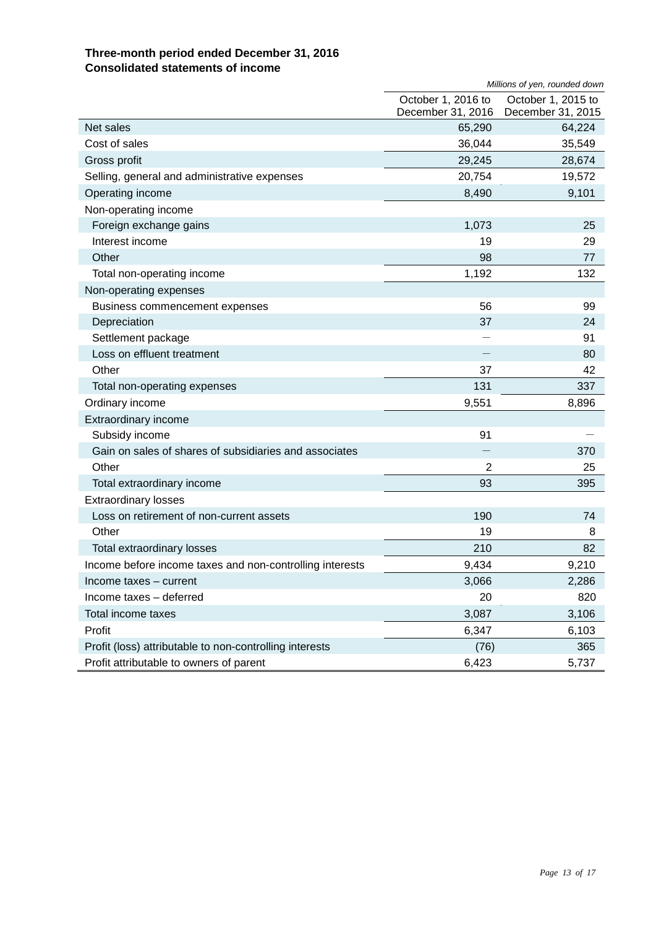#### **Three-month period ended December 31, 2016 Consolidated statements of income**

|                                                          | Millions of yen, rounded down           |                                         |
|----------------------------------------------------------|-----------------------------------------|-----------------------------------------|
|                                                          | October 1, 2016 to<br>December 31, 2016 | October 1, 2015 to<br>December 31, 2015 |
| Net sales                                                | 65,290                                  | 64,224                                  |
| Cost of sales                                            | 36,044                                  | 35,549                                  |
| Gross profit                                             | 29,245                                  | 28,674                                  |
| Selling, general and administrative expenses             | 20,754                                  | 19,572                                  |
| Operating income                                         | 8,490                                   | 9,101                                   |
| Non-operating income                                     |                                         |                                         |
| Foreign exchange gains                                   | 1,073                                   | 25                                      |
| Interest income                                          | 19                                      | 29                                      |
| Other                                                    | 98                                      | 77                                      |
| Total non-operating income                               | 1,192                                   | 132                                     |
| Non-operating expenses                                   |                                         |                                         |
| Business commencement expenses                           | 56                                      | 99                                      |
| Depreciation                                             | 37                                      | 24                                      |
| Settlement package                                       |                                         | 91                                      |
| Loss on effluent treatment                               |                                         | 80                                      |
| Other                                                    | 37                                      | 42                                      |
| Total non-operating expenses                             | 131                                     | 337                                     |
| Ordinary income                                          | 9,551                                   | 8,896                                   |
| Extraordinary income                                     |                                         |                                         |
| Subsidy income                                           | 91                                      |                                         |
| Gain on sales of shares of subsidiaries and associates   |                                         | 370                                     |
| Other                                                    | 2                                       | 25                                      |
| Total extraordinary income                               | 93                                      | 395                                     |
| <b>Extraordinary losses</b>                              |                                         |                                         |
| Loss on retirement of non-current assets                 | 190                                     | 74                                      |
| Other                                                    | 19                                      | 8                                       |
| Total extraordinary losses                               | 210                                     | 82                                      |
| Income before income taxes and non-controlling interests | 9,434                                   | 9,210                                   |
| Income taxes - current                                   | 3,066                                   | 2,286                                   |
| Income taxes - deferred                                  | 20                                      | 820                                     |
| Total income taxes                                       | 3,087                                   | 3,106                                   |
| Profit                                                   | 6,347                                   | 6,103                                   |
| Profit (loss) attributable to non-controlling interests  | (76)                                    | 365                                     |
| Profit attributable to owners of parent                  | 6,423                                   | 5,737                                   |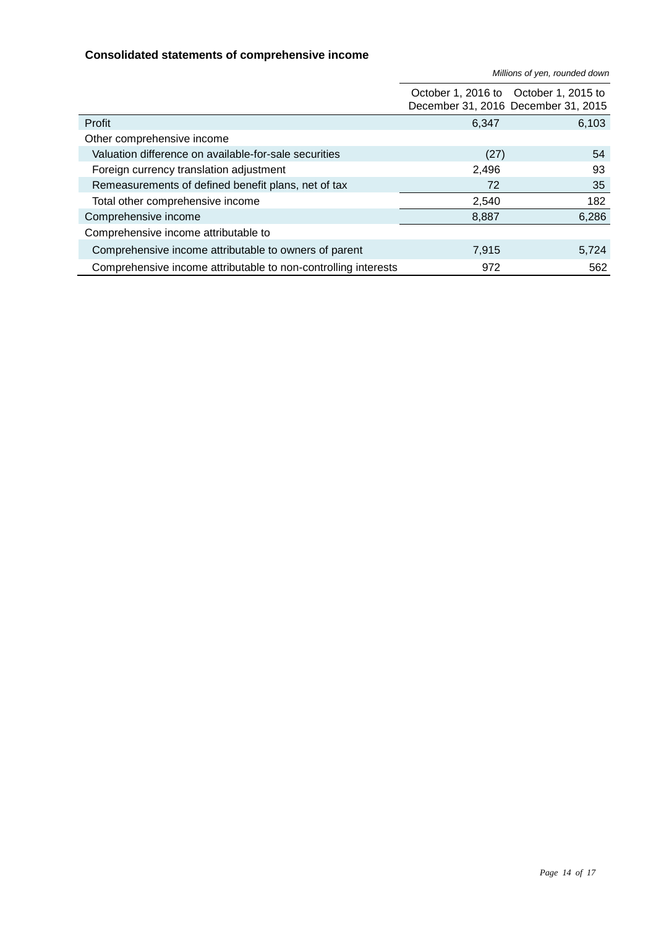#### **Consolidated statements of comprehensive income**

*Millions of yen, rounded down*

|                                                                |       | October 1, 2016 to October 1, 2015 to<br>December 31, 2016 December 31, 2015 |
|----------------------------------------------------------------|-------|------------------------------------------------------------------------------|
| Profit                                                         | 6,347 | 6,103                                                                        |
| Other comprehensive income                                     |       |                                                                              |
| Valuation difference on available-for-sale securities          | (27)  | 54                                                                           |
| Foreign currency translation adjustment                        | 2,496 | 93                                                                           |
| Remeasurements of defined benefit plans, net of tax            | 72    | 35                                                                           |
| Total other comprehensive income                               | 2,540 | 182                                                                          |
| Comprehensive income                                           | 8,887 | 6,286                                                                        |
| Comprehensive income attributable to                           |       |                                                                              |
| Comprehensive income attributable to owners of parent          | 7,915 | 5,724                                                                        |
| Comprehensive income attributable to non-controlling interests | 972   | 562                                                                          |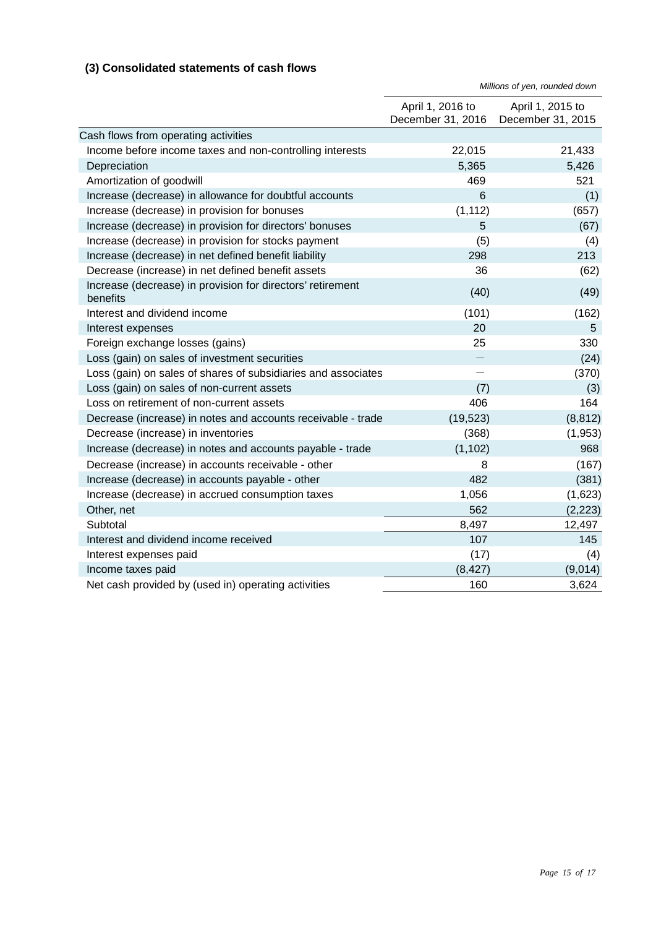#### **(3) Consolidated statements of cash flows**

|                                                                        | Millions of yen, rounded down         |                                       |
|------------------------------------------------------------------------|---------------------------------------|---------------------------------------|
|                                                                        | April 1, 2016 to<br>December 31, 2016 | April 1, 2015 to<br>December 31, 2015 |
| Cash flows from operating activities                                   |                                       |                                       |
| Income before income taxes and non-controlling interests               | 22,015                                | 21,433                                |
| Depreciation                                                           | 5,365                                 | 5,426                                 |
| Amortization of goodwill                                               | 469                                   | 521                                   |
| Increase (decrease) in allowance for doubtful accounts                 | 6                                     | (1)                                   |
| Increase (decrease) in provision for bonuses                           | (1, 112)                              | (657)                                 |
| Increase (decrease) in provision for directors' bonuses                | 5                                     | (67)                                  |
| Increase (decrease) in provision for stocks payment                    | (5)                                   | (4)                                   |
| Increase (decrease) in net defined benefit liability                   | 298                                   | 213                                   |
| Decrease (increase) in net defined benefit assets                      | 36                                    | (62)                                  |
| Increase (decrease) in provision for directors' retirement<br>benefits | (40)                                  | (49)                                  |
| Interest and dividend income                                           | (101)                                 | (162)                                 |
| Interest expenses                                                      | 20                                    | 5                                     |
| Foreign exchange losses (gains)                                        | 25                                    | 330                                   |
| Loss (gain) on sales of investment securities                          |                                       | (24)                                  |
| Loss (gain) on sales of shares of subsidiaries and associates          |                                       | (370)                                 |
| Loss (gain) on sales of non-current assets                             | (7)                                   | (3)                                   |
| Loss on retirement of non-current assets                               | 406                                   | 164                                   |
| Decrease (increase) in notes and accounts receivable - trade           | (19, 523)                             | (8, 812)                              |
| Decrease (increase) in inventories                                     | (368)                                 | (1, 953)                              |
| Increase (decrease) in notes and accounts payable - trade              | (1, 102)                              | 968                                   |
| Decrease (increase) in accounts receivable - other                     | 8                                     | (167)                                 |
| Increase (decrease) in accounts payable - other                        | 482                                   | (381)                                 |
| Increase (decrease) in accrued consumption taxes                       | 1,056                                 | (1,623)                               |
| Other, net                                                             | 562                                   | (2, 223)                              |
| Subtotal                                                               | 8,497                                 | 12,497                                |
| Interest and dividend income received                                  | 107                                   | 145                                   |
| Interest expenses paid                                                 | (17)                                  | (4)                                   |
| Income taxes paid                                                      | (8, 427)                              | (9,014)                               |
| Net cash provided by (used in) operating activities                    | 160                                   | 3,624                                 |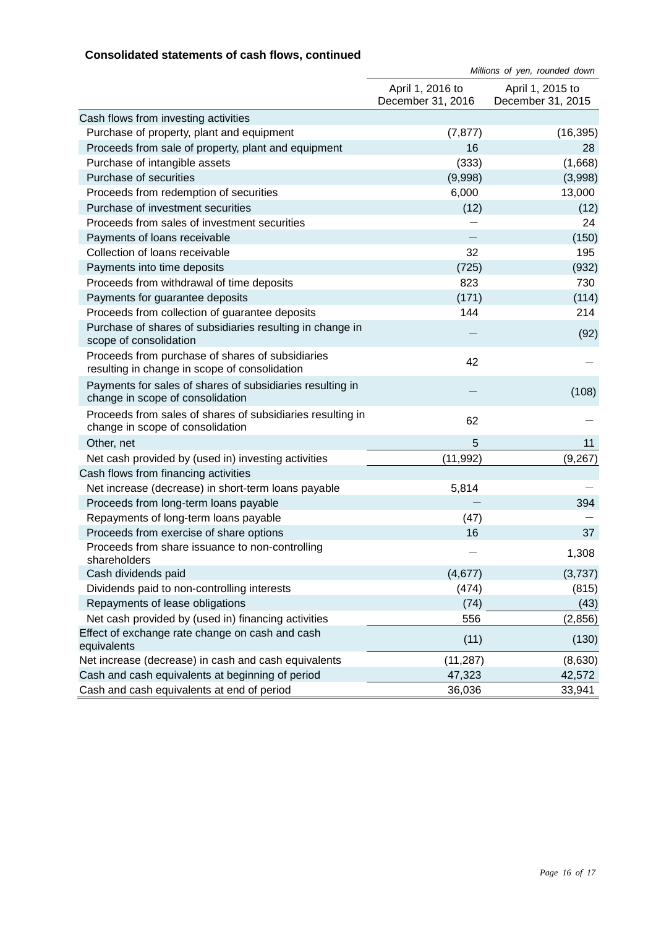#### **Consolidated statements of cash flows, continued**

|                                                                                                   | Millions of yen, rounded down         |                                       |
|---------------------------------------------------------------------------------------------------|---------------------------------------|---------------------------------------|
|                                                                                                   | April 1, 2016 to<br>December 31, 2016 | April 1, 2015 to<br>December 31, 2015 |
| Cash flows from investing activities                                                              |                                       |                                       |
| Purchase of property, plant and equipment                                                         | (7, 877)                              | (16, 395)                             |
| Proceeds from sale of property, plant and equipment                                               | 16                                    | 28                                    |
| Purchase of intangible assets                                                                     | (333)                                 | (1,668)                               |
| Purchase of securities                                                                            | (9,998)                               | (3,998)                               |
| Proceeds from redemption of securities                                                            | 6,000                                 | 13,000                                |
| Purchase of investment securities                                                                 | (12)                                  | (12)                                  |
| Proceeds from sales of investment securities                                                      |                                       | 24                                    |
| Payments of loans receivable                                                                      |                                       | (150)                                 |
| Collection of loans receivable                                                                    | 32                                    | 195                                   |
| Payments into time deposits                                                                       | (725)                                 | (932)                                 |
| Proceeds from withdrawal of time deposits                                                         | 823                                   | 730                                   |
| Payments for guarantee deposits                                                                   | (171)                                 | (114)                                 |
| Proceeds from collection of guarantee deposits                                                    | 144                                   | 214                                   |
| Purchase of shares of subsidiaries resulting in change in<br>scope of consolidation               |                                       | (92)                                  |
| Proceeds from purchase of shares of subsidiaries<br>resulting in change in scope of consolidation | 42                                    |                                       |
| Payments for sales of shares of subsidiaries resulting in<br>change in scope of consolidation     |                                       | (108)                                 |
| Proceeds from sales of shares of subsidiaries resulting in<br>change in scope of consolidation    | 62                                    |                                       |
| Other, net                                                                                        | 5                                     | 11                                    |
| Net cash provided by (used in) investing activities                                               | (11, 992)                             | (9, 267)                              |
| Cash flows from financing activities                                                              |                                       |                                       |
| Net increase (decrease) in short-term loans payable                                               | 5,814                                 |                                       |
| Proceeds from long-term loans payable                                                             |                                       | 394                                   |
| Repayments of long-term loans payable                                                             | (47)                                  |                                       |
| Proceeds from exercise of share options                                                           | 16                                    | 37                                    |
| Proceeds from share issuance to non-controlling<br>shareholders                                   |                                       | 1,308                                 |
| Cash dividends paid                                                                               | (4,677)                               | (3,737)                               |
| Dividends paid to non-controlling interests                                                       | (474)                                 | (815)                                 |
| Repayments of lease obligations                                                                   | (74)                                  | (43)                                  |
| Net cash provided by (used in) financing activities                                               | 556                                   | (2,856)                               |
| Effect of exchange rate change on cash and cash<br>equivalents                                    | (11)                                  | (130)                                 |
| Net increase (decrease) in cash and cash equivalents                                              | (11, 287)                             | (8,630)                               |
| Cash and cash equivalents at beginning of period                                                  | 47,323                                | 42,572                                |
| Cash and cash equivalents at end of period                                                        | 36,036                                | 33,941                                |